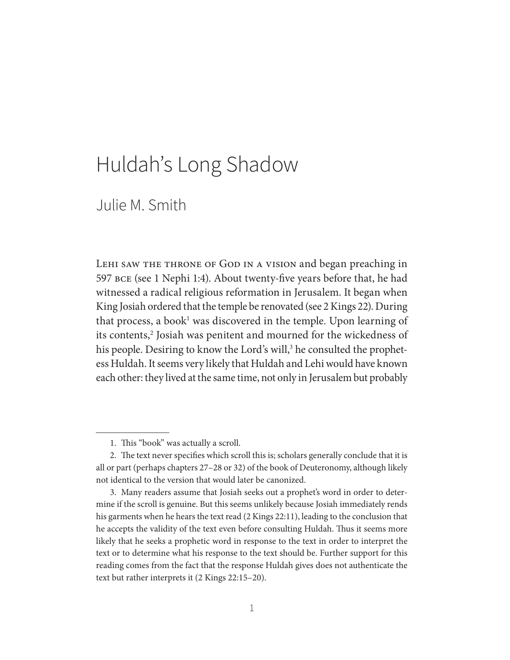# Huldah's Long Shadow

# Julie M. Smith

LEHI SAW THE THRONE OF GOD IN A VISION and began preaching in 597 bce (see 1 Nephi 1:4). About twenty-five years before that, he had witnessed a radical religious reformation in Jerusalem. It began when King Josiah ordered that the temple be renovated (see 2 Kings 22). During that process, a book<sup>1</sup> was discovered in the temple. Upon learning of its contents,<sup>2</sup> Josiah was penitent and mourned for the wickedness of his people. Desiring to know the Lord's will,<sup>3</sup> he consulted the prophetess Huldah. It seems very likely that Huldah and Lehi would have known each other: they lived at the same time, not only in Jerusalem but probably

 <sup>1.</sup> This "book" was actually a scroll.

 <sup>2.</sup> The text never specifies which scroll this is; scholars generally conclude that it is all or part (perhaps chapters 27–28 or 32) of the book of Deuteronomy, although likely not identical to the version that would later be canonized.

 <sup>3.</sup> Many readers assume that Josiah seeks out a prophet's word in order to determine if the scroll is genuine. But this seems unlikely because Josiah immediately rends his garments when he hears the text read (2 Kings 22:11), leading to the conclusion that he accepts the validity of the text even before consulting Huldah. Thus it seems more likely that he seeks a prophetic word in response to the text in order to interpret the text or to determine what his response to the text should be. Further support for this reading comes from the fact that the response Huldah gives does not authenticate the text but rather interprets it (2 Kings 22:15–20).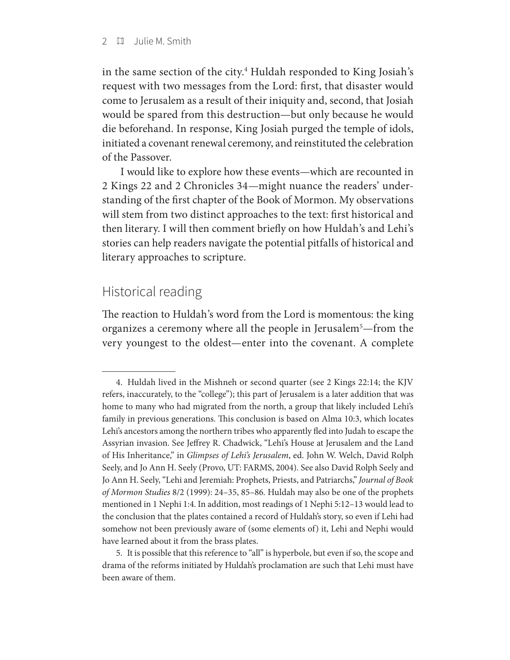in the same section of the city.4 Huldah responded to King Josiah's request with two messages from the Lord: first, that disaster would come to Jerusalem as a result of their iniquity and, second, that Josiah would be spared from this destruction—but only because he would die beforehand. In response, King Josiah purged the temple of idols, initiated a covenant renewal ceremony, and reinstituted the celebration of the Passover.

I would like to explore how these events—which are recounted in 2 Kings 22 and 2 Chronicles 34—might nuance the readers' understanding of the first chapter of the Book of Mormon. My observations will stem from two distinct approaches to the text: first historical and then literary. I will then comment briefly on how Huldah's and Lehi's stories can help readers navigate the potential pitfalls of historical and literary approaches to scripture.

### Historical reading

The reaction to Huldah's word from the Lord is momentous: the king organizes a ceremony where all the people in Jerusalem<sup>5</sup>—from the very youngest to the oldest—enter into the covenant. A complete

 <sup>4.</sup> Huldah lived in the Mishneh or second quarter (see 2 Kings 22:14; the KJV refers, inaccurately, to the "college"); this part of Jerusalem is a later addition that was home to many who had migrated from the north, a group that likely included Lehi's family in previous generations. This conclusion is based on Alma 10:3, which locates Lehi's ancestors among the northern tribes who apparently fled into Judah to escape the Assyrian invasion. See Jeffrey R. Chadwick, "Lehi's House at Jerusalem and the Land of His Inheritance," in *Glimpses of Lehi's Jerusalem*, ed. John W. Welch, David Rolph Seely, and Jo Ann H. Seely (Provo, UT: FARMS, 2004)*.* See also David Rolph Seely and Jo Ann H. Seely, "Lehi and Jeremiah: Prophets, Priests, and Patriarchs," *Journal of Book of Mormon Studies* 8/2 (1999): 24–35, 85–86*.* Huldah may also be one of the prophets mentioned in 1 Nephi 1:4. In addition, most readings of 1 Nephi 5:12–13 would lead to the conclusion that the plates contained a record of Huldah's story, so even if Lehi had somehow not been previously aware of (some elements of) it, Lehi and Nephi would have learned about it from the brass plates.

 <sup>5.</sup> It is possible that this reference to "all" is hyperbole, but even if so, the scope and drama of the reforms initiated by Huldah's proclamation are such that Lehi must have been aware of them.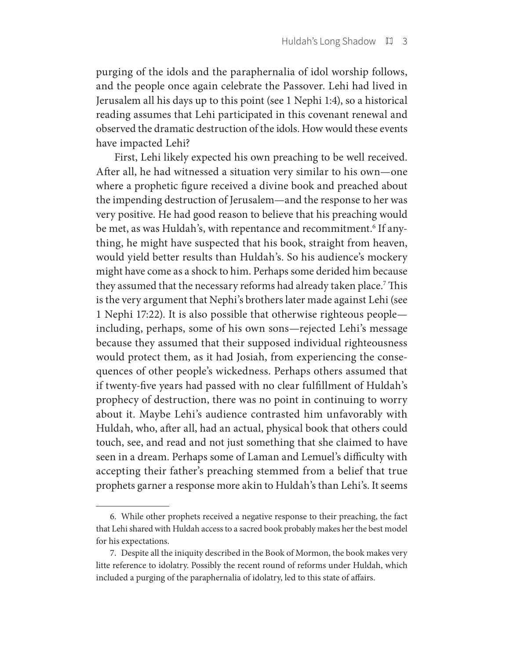purging of the idols and the paraphernalia of idol worship follows, and the people once again celebrate the Passover. Lehi had lived in Jerusalem all his days up to this point (see 1 Nephi 1:4), so a historical reading assumes that Lehi participated in this covenant renewal and observed the dramatic destruction of the idols. How would these events have impacted Lehi?

First, Lehi likely expected his own preaching to be well received. After all, he had witnessed a situation very similar to his own—one where a prophetic figure received a divine book and preached about the impending destruction of Jerusalem—and the response to her was very positive. He had good reason to believe that his preaching would be met, as was Huldah's, with repentance and recommitment.<sup>6</sup> If anything, he might have suspected that his book, straight from heaven, would yield better results than Huldah's. So his audience's mockery might have come as a shock to him. Perhaps some derided him because they assumed that the necessary reforms had already taken place.<sup>7</sup> This is the very argument that Nephi's brothers later made against Lehi (see 1 Nephi 17:22). It is also possible that otherwise righteous people including, perhaps, some of his own sons—rejected Lehi's message because they assumed that their supposed individual righteousness would protect them, as it had Josiah, from experiencing the consequences of other people's wickedness. Perhaps others assumed that if twenty-five years had passed with no clear fulfillment of Huldah's prophecy of destruction, there was no point in continuing to worry about it. Maybe Lehi's audience contrasted him unfavorably with Huldah, who, after all, had an actual, physical book that others could touch, see, and read and not just something that she claimed to have seen in a dream. Perhaps some of Laman and Lemuel's difficulty with accepting their father's preaching stemmed from a belief that true prophets garner a response more akin to Huldah's than Lehi's. It seems

 <sup>6.</sup> While other prophets received a negative response to their preaching, the fact that Lehi shared with Huldah access to a sacred book probably makes her the best model for his expectations.

 <sup>7.</sup> Despite all the iniquity described in the Book of Mormon, the book makes very litte reference to idolatry. Possibly the recent round of reforms under Huldah, which included a purging of the paraphernalia of idolatry, led to this state of affairs.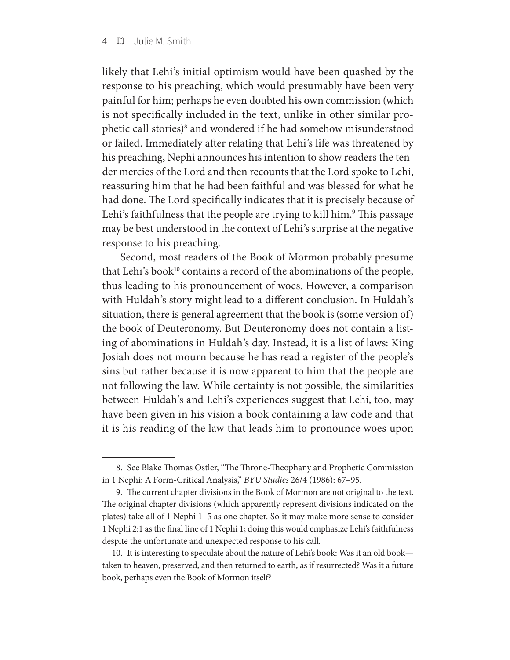likely that Lehi's initial optimism would have been quashed by the response to his preaching, which would presumably have been very painful for him; perhaps he even doubted his own commission (which is not specifically included in the text, unlike in other similar prophetic call stories)<sup>8</sup> and wondered if he had somehow misunderstood or failed. Immediately after relating that Lehi's life was threatened by his preaching, Nephi announces his intention to show readers the tender mercies of the Lord and then recounts that the Lord spoke to Lehi, reassuring him that he had been faithful and was blessed for what he had done. The Lord specifically indicates that it is precisely because of Lehi's faithfulness that the people are trying to kill him.9 This passage may be best understood in the context of Lehi's surprise at the negative response to his preaching.

Second, most readers of the Book of Mormon probably presume that Lehi's book<sup>10</sup> contains a record of the abominations of the people, thus leading to his pronouncement of woes. However, a comparison with Huldah's story might lead to a different conclusion. In Huldah's situation, there is general agreement that the book is (some version of) the book of Deuteronomy. But Deuteronomy does not contain a listing of abominations in Huldah's day. Instead, it is a list of laws: King Josiah does not mourn because he has read a register of the people's sins but rather because it is now apparent to him that the people are not following the law. While certainty is not possible, the similarities between Huldah's and Lehi's experiences suggest that Lehi, too, may have been given in his vision a book containing a law code and that it is his reading of the law that leads him to pronounce woes upon

 <sup>8.</sup> See Blake Thomas Ostler, "The Throne-Theophany and Prophetic Commission in 1 Nephi: A Form-Critical Analysis," *BYU Studies* 26/4 (1986): 67–95.

 <sup>9.</sup> The current chapter divisions in the Book of Mormon are not original to the text. The original chapter divisions (which apparently represent divisions indicated on the plates) take all of 1 Nephi 1–5 as one chapter. So it may make more sense to consider 1 Nephi 2:1 as the final line of 1 Nephi 1; doing this would emphasize Lehi's faithfulness despite the unfortunate and unexpected response to his call.

 <sup>10.</sup> It is interesting to speculate about the nature of Lehi's book: Was it an old book taken to heaven, preserved, and then returned to earth, as if resurrected? Was it a future book, perhaps even the Book of Mormon itself?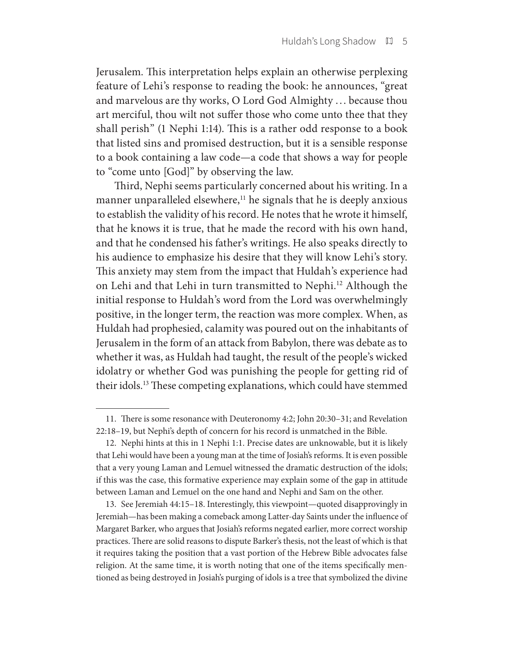Jerusalem. This interpretation helps explain an otherwise perplexing feature of Lehi's response to reading the book: he announces, "great and marvelous are thy works, O Lord God Almighty . . . because thou art merciful, thou wilt not suffer those who come unto thee that they shall perish" (1 Nephi 1:14). This is a rather odd response to a book that listed sins and promised destruction, but it is a sensible response to a book containing a law code—a code that shows a way for people to "come unto [God]" by observing the law.

Third, Nephi seems particularly concerned about his writing. In a manner unparalleled elsewhere,<sup>11</sup> he signals that he is deeply anxious to establish the validity of his record. He notes that he wrote it himself, that he knows it is true, that he made the record with his own hand, and that he condensed his father's writings. He also speaks directly to his audience to emphasize his desire that they will know Lehi's story. This anxiety may stem from the impact that Huldah's experience had on Lehi and that Lehi in turn transmitted to Nephi.<sup>12</sup> Although the initial response to Huldah's word from the Lord was overwhelmingly positive, in the longer term, the reaction was more complex. When, as Huldah had prophesied, calamity was poured out on the inhabitants of Jerusalem in the form of an attack from Babylon, there was debate as to whether it was, as Huldah had taught, the result of the people's wicked idolatry or whether God was punishing the people for getting rid of their idols.13 These competing explanations, which could have stemmed

 <sup>11.</sup> There is some resonance with Deuteronomy 4:2; John 20:30–31; and Revelation 22:18–19, but Nephi's depth of concern for his record is unmatched in the Bible.

 <sup>12.</sup> Nephi hints at this in 1 Nephi 1:1. Precise dates are unknowable, but it is likely that Lehi would have been a young man at the time of Josiah's reforms. It is even possible that a very young Laman and Lemuel witnessed the dramatic destruction of the idols; if this was the case, this formative experience may explain some of the gap in attitude between Laman and Lemuel on the one hand and Nephi and Sam on the other.

 <sup>13.</sup> See Jeremiah 44:15–18. Interestingly, this viewpoint—quoted disapprovingly in Jeremiah—has been making a comeback among Latter-day Saints under the influence of Margaret Barker, who argues that Josiah's reforms negated earlier, more correct worship practices. There are solid reasons to dispute Barker's thesis, not the least of which is that it requires taking the position that a vast portion of the Hebrew Bible advocates false religion. At the same time, it is worth noting that one of the items specifically mentioned as being destroyed in Josiah's purging of idols is a tree that symbolized the divine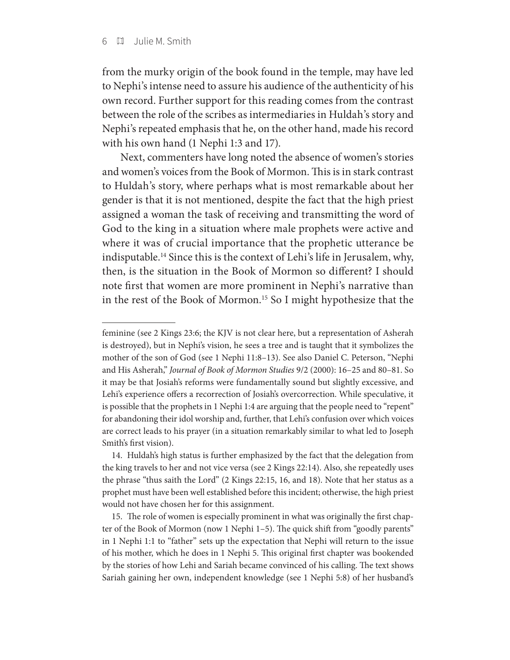from the murky origin of the book found in the temple, may have led to Nephi's intense need to assure his audience of the authenticity of his own record. Further support for this reading comes from the contrast between the role of the scribes as intermediaries in Huldah's story and Nephi's repeated emphasis that he, on the other hand, made his record with his own hand (1 Nephi 1:3 and 17).

Next, commenters have long noted the absence of women's stories and women's voices from the Book of Mormon. This is in stark contrast to Huldah's story, where perhaps what is most remarkable about her gender is that it is not mentioned, despite the fact that the high priest assigned a woman the task of receiving and transmitting the word of God to the king in a situation where male prophets were active and where it was of crucial importance that the prophetic utterance be indisputable.14 Since this is the context of Lehi's life in Jerusalem, why, then, is the situation in the Book of Mormon so different? I should note first that women are more prominent in Nephi's narrative than in the rest of the Book of Mormon.15 So I might hypothesize that the

feminine (see 2 Kings 23:6; the KJV is not clear here, but a representation of Asherah is destroyed), but in Nephi's vision, he sees a tree and is taught that it symbolizes the mother of the son of God (see 1 Nephi 11:8–13). See also Daniel C. Peterson, "Nephi and His Asherah," *Journal of Book of Mormon Studies* 9/2 (2000): 16–25 and 80–81. So it may be that Josiah's reforms were fundamentally sound but slightly excessive, and Lehi's experience offers a recorrection of Josiah's overcorrection. While speculative, it is possible that the prophets in 1 Nephi 1:4 are arguing that the people need to "repent" for abandoning their idol worship and, further, that Lehi's confusion over which voices are correct leads to his prayer (in a situation remarkably similar to what led to Joseph Smith's first vision).

 <sup>14.</sup> Huldah's high status is further emphasized by the fact that the delegation from the king travels to her and not vice versa (see 2 Kings 22:14). Also, she repeatedly uses the phrase "thus saith the Lord" (2 Kings 22:15, 16, and 18). Note that her status as a prophet must have been well established before this incident; otherwise, the high priest would not have chosen her for this assignment.

 <sup>15.</sup> The role of women is especially prominent in what was originally the first chapter of the Book of Mormon (now 1 Nephi 1–5). The quick shift from "goodly parents" in 1 Nephi 1:1 to "father" sets up the expectation that Nephi will return to the issue of his mother, which he does in 1 Nephi 5. This original first chapter was bookended by the stories of how Lehi and Sariah became convinced of his calling. The text shows Sariah gaining her own, independent knowledge (see 1 Nephi 5:8) of her husband's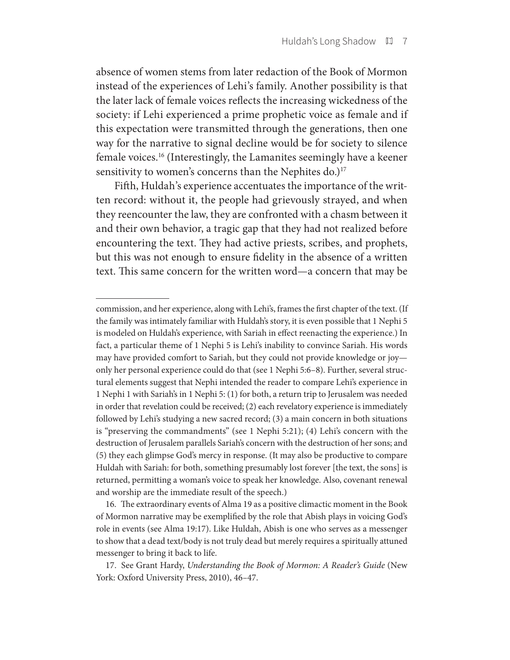absence of women stems from later redaction of the Book of Mormon instead of the experiences of Lehi's family. Another possibility is that the later lack of female voices reflects the increasing wickedness of the society: if Lehi experienced a prime prophetic voice as female and if this expectation were transmitted through the generations, then one way for the narrative to signal decline would be for society to silence female voices.16 (Interestingly, the Lamanites seemingly have a keener sensitivity to women's concerns than the Nephites do.)<sup>17</sup>

Fifth, Huldah's experience accentuates the importance of the written record: without it, the people had grievously strayed, and when they reencounter the law, they are confronted with a chasm between it and their own behavior, a tragic gap that they had not realized before encountering the text. They had active priests, scribes, and prophets, but this was not enough to ensure fidelity in the absence of a written text. This same concern for the written word—a concern that may be

commission, and her experience, along with Lehi's, frames the first chapter of the text. (If the family was intimately familiar with Huldah's story, it is even possible that 1 Nephi 5 is modeled on Huldah's experience, with Sariah in effect reenacting the experience.) In fact, a particular theme of 1 Nephi 5 is Lehi's inability to convince Sariah. His words may have provided comfort to Sariah, but they could not provide knowledge or joy only her personal experience could do that (see 1 Nephi 5:6–8). Further, several structural elements suggest that Nephi intended the reader to compare Lehi's experience in 1 Nephi 1 with Sariah's in 1 Nephi 5: (1) for both, a return trip to Jerusalem was needed in order that revelation could be received; (2) each revelatory experience is immediately followed by Lehi's studying a new sacred record; (3) a main concern in both situations is "preserving the commandments" (see 1 Nephi 5:21); (4) Lehi's concern with the destruction of Jerusalem parallels Sariah's concern with the destruction of her sons; and (5) they each glimpse God's mercy in response. (It may also be productive to compare Huldah with Sariah: for both, something presumably lost forever [the text, the sons] is returned, permitting a woman's voice to speak her knowledge. Also, covenant renewal and worship are the immediate result of the speech.)

 <sup>16.</sup> The extraordinary events of Alma 19 as a positive climactic moment in the Book of Mormon narrative may be exemplified by the role that Abish plays in voicing God's role in events (see Alma 19:17). Like Huldah, Abish is one who serves as a messenger to show that a dead text/body is not truly dead but merely requires a spiritually attuned messenger to bring it back to life.

 <sup>17.</sup> See Grant Hardy, *Understanding the Book of Mormon: A Reader's Guide* (New York: Oxford University Press, 2010), 46–47.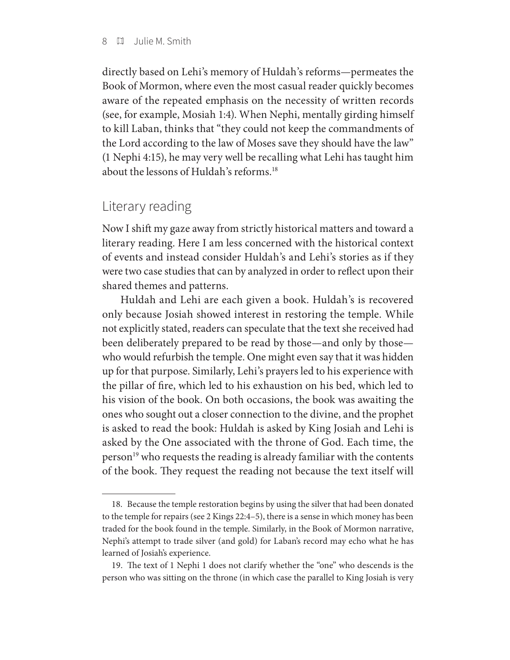#### 8 Julie M. Smith

directly based on Lehi's memory of Huldah's reforms—permeates the Book of Mormon, where even the most casual reader quickly becomes aware of the repeated emphasis on the necessity of written records (see, for example, Mosiah 1:4). When Nephi, mentally girding himself to kill Laban, thinks that "they could not keep the commandments of the Lord according to the law of Moses save they should have the law" (1 Nephi 4:15), he may very well be recalling what Lehi has taught him about the lessons of Huldah's reforms.18

### Literary reading

Now I shift my gaze away from strictly historical matters and toward a literary reading. Here I am less concerned with the historical context of events and instead consider Huldah's and Lehi's stories as if they were two case studies that can by analyzed in order to reflect upon their shared themes and patterns.

Huldah and Lehi are each given a book. Huldah's is recovered only because Josiah showed interest in restoring the temple. While not explicitly stated, readers can speculate that the text she received had been deliberately prepared to be read by those—and only by those who would refurbish the temple. One might even say that it was hidden up for that purpose. Similarly, Lehi's prayers led to his experience with the pillar of fire, which led to his exhaustion on his bed, which led to his vision of the book. On both occasions, the book was awaiting the ones who sought out a closer connection to the divine, and the prophet is asked to read the book: Huldah is asked by King Josiah and Lehi is asked by the One associated with the throne of God. Each time, the person<sup>19</sup> who requests the reading is already familiar with the contents of the book. They request the reading not because the text itself will

 <sup>18.</sup> Because the temple restoration begins by using the silver that had been donated to the temple for repairs (see 2 Kings 22:4–5), there is a sense in which money has been traded for the book found in the temple. Similarly, in the Book of Mormon narrative, Nephi's attempt to trade silver (and gold) for Laban's record may echo what he has learned of Josiah's experience.

 <sup>19.</sup> The text of 1 Nephi 1 does not clarify whether the "one" who descends is the person who was sitting on the throne (in which case the parallel to King Josiah is very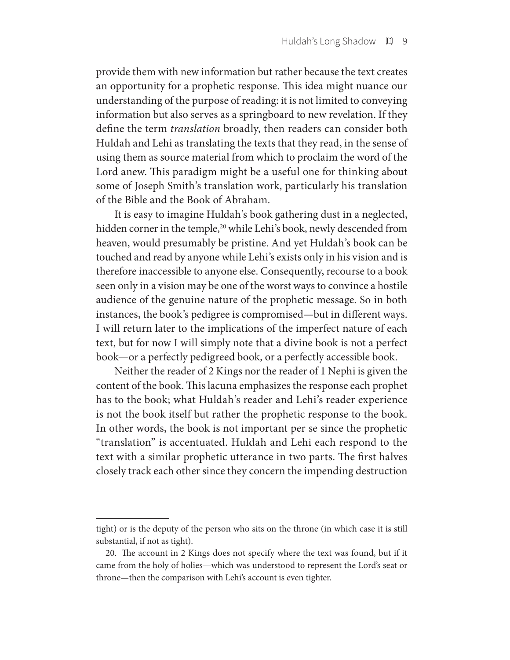provide them with new information but rather because the text creates an opportunity for a prophetic response. This idea might nuance our understanding of the purpose of reading: it is not limited to conveying information but also serves as a springboard to new revelation. If they define the term *translation* broadly, then readers can consider both Huldah and Lehi as translating the texts that they read, in the sense of using them as source material from which to proclaim the word of the Lord anew. This paradigm might be a useful one for thinking about some of Joseph Smith's translation work, particularly his translation of the Bible and the Book of Abraham.

It is easy to imagine Huldah's book gathering dust in a neglected, hidden corner in the temple,<sup>20</sup> while Lehi's book, newly descended from heaven, would presumably be pristine. And yet Huldah's book can be touched and read by anyone while Lehi's exists only in his vision and is therefore inaccessible to anyone else. Consequently, recourse to a book seen only in a vision may be one of the worst ways to convince a hostile audience of the genuine nature of the prophetic message. So in both instances, the book's pedigree is compromised—but in different ways. I will return later to the implications of the imperfect nature of each text, but for now I will simply note that a divine book is not a perfect book—or a perfectly pedigreed book, or a perfectly accessible book.

Neither the reader of 2 Kings nor the reader of 1 Nephi is given the content of the book. This lacuna emphasizes the response each prophet has to the book; what Huldah's reader and Lehi's reader experience is not the book itself but rather the prophetic response to the book. In other words, the book is not important per se since the prophetic "translation" is accentuated. Huldah and Lehi each respond to the text with a similar prophetic utterance in two parts. The first halves closely track each other since they concern the impending destruction

tight) or is the deputy of the person who sits on the throne (in which case it is still substantial, if not as tight).

 <sup>20.</sup> The account in 2 Kings does not specify where the text was found, but if it came from the holy of holies—which was understood to represent the Lord's seat or throne—then the comparison with Lehi's account is even tighter.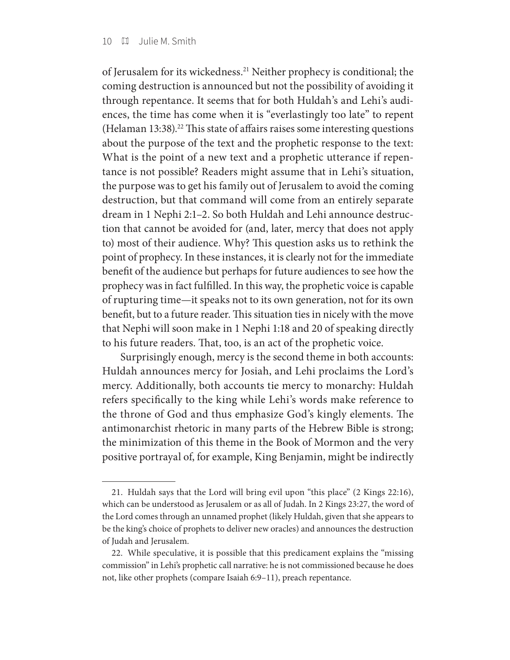of Jerusalem for its wickedness.21 Neither prophecy is conditional; the coming destruction is announced but not the possibility of avoiding it through repentance. It seems that for both Huldah's and Lehi's audiences, the time has come when it is "everlastingly too late" to repent (Helaman 13:38).<sup>22</sup> This state of affairs raises some interesting questions about the purpose of the text and the prophetic response to the text: What is the point of a new text and a prophetic utterance if repentance is not possible? Readers might assume that in Lehi's situation, the purpose was to get his family out of Jerusalem to avoid the coming destruction, but that command will come from an entirely separate dream in 1 Nephi 2:1–2. So both Huldah and Lehi announce destruction that cannot be avoided for (and, later, mercy that does not apply to) most of their audience. Why? This question asks us to rethink the point of prophecy. In these instances, it is clearly not for the immediate benefit of the audience but perhaps for future audiences to see how the prophecy was in fact fulfilled. In this way, the prophetic voice is capable of rupturing time—it speaks not to its own generation, not for its own benefit, but to a future reader. This situation ties in nicely with the move that Nephi will soon make in 1 Nephi 1:18 and 20 of speaking directly to his future readers. That, too, is an act of the prophetic voice.

Surprisingly enough, mercy is the second theme in both accounts: Huldah announces mercy for Josiah, and Lehi proclaims the Lord's mercy. Additionally, both accounts tie mercy to monarchy: Huldah refers specifically to the king while Lehi's words make reference to the throne of God and thus emphasize God's kingly elements. The antimonarchist rhetoric in many parts of the Hebrew Bible is strong; the minimization of this theme in the Book of Mormon and the very positive portrayal of, for example, King Benjamin, might be indirectly

 <sup>21.</sup> Huldah says that the Lord will bring evil upon "this place" (2 Kings 22:16), which can be understood as Jerusalem or as all of Judah. In 2 Kings 23:27, the word of the Lord comes through an unnamed prophet (likely Huldah, given that she appears to be the king's choice of prophets to deliver new oracles) and announces the destruction of Judah and Jerusalem.

 <sup>22.</sup> While speculative, it is possible that this predicament explains the "missing commission" in Lehi's prophetic call narrative: he is not commissioned because he does not, like other prophets (compare Isaiah 6:9–11), preach repentance.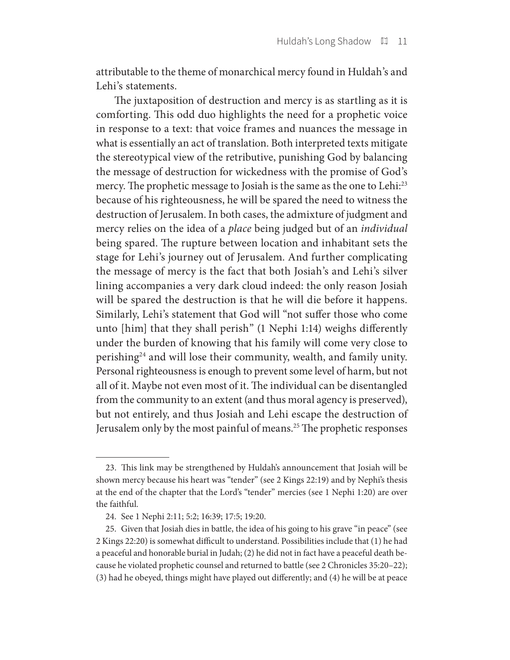attributable to the theme of monarchical mercy found in Huldah's and Lehi's statements.

The juxtaposition of destruction and mercy is as startling as it is comforting. This odd duo highlights the need for a prophetic voice in response to a text: that voice frames and nuances the message in what is essentially an act of translation. Both interpreted texts mitigate the stereotypical view of the retributive, punishing God by balancing the message of destruction for wickedness with the promise of God's mercy. The prophetic message to Josiah is the same as the one to Lehi:<sup>23</sup> because of his righteousness, he will be spared the need to witness the destruction of Jerusalem. In both cases, the admixture of judgment and mercy relies on the idea of a *place* being judged but of an *individual* being spared. The rupture between location and inhabitant sets the stage for Lehi's journey out of Jerusalem. And further complicating the message of mercy is the fact that both Josiah's and Lehi's silver lining accompanies a very dark cloud indeed: the only reason Josiah will be spared the destruction is that he will die before it happens. Similarly, Lehi's statement that God will "not suffer those who come unto [him] that they shall perish" (1 Nephi 1:14) weighs differently under the burden of knowing that his family will come very close to perishing24 and will lose their community, wealth, and family unity. Personal righteousness is enough to prevent some level of harm, but not all of it. Maybe not even most of it. The individual can be disentangled from the community to an extent (and thus moral agency is preserved), but not entirely, and thus Josiah and Lehi escape the destruction of Jerusalem only by the most painful of means.25 The prophetic responses

 <sup>23.</sup> This link may be strengthened by Huldah's announcement that Josiah will be shown mercy because his heart was "tender" (see 2 Kings 22:19) and by Nephi's thesis at the end of the chapter that the Lord's "tender" mercies (see 1 Nephi 1:20) are over the faithful.

 <sup>24.</sup> See 1 Nephi 2:11; 5:2; 16:39; 17:5; 19:20.

 <sup>25.</sup> Given that Josiah dies in battle, the idea of his going to his grave "in peace" (see 2 Kings 22:20) is somewhat difficult to understand. Possibilities include that (1) he had a peaceful and honorable burial in Judah; (2) he did not in fact have a peaceful death because he violated prophetic counsel and returned to battle (see 2 Chronicles 35:20–22); (3) had he obeyed, things might have played out differently; and (4) he will be at peace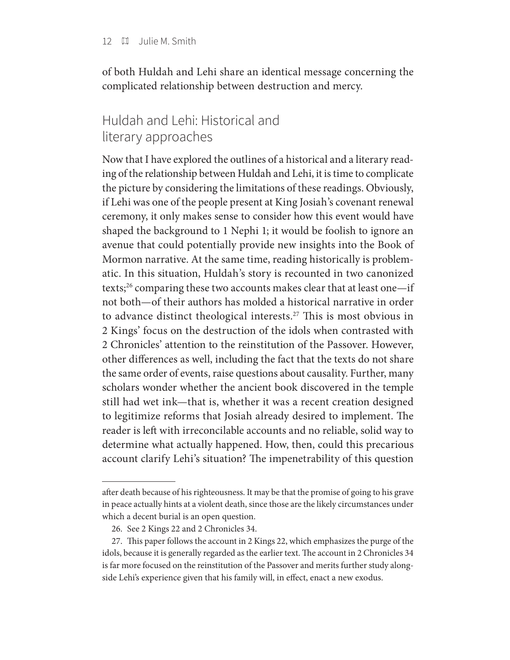of both Huldah and Lehi share an identical message concerning the complicated relationship between destruction and mercy.

## Huldah and Lehi: Historical and literary approaches

Now that I have explored the outlines of a historical and a literary reading of the relationship between Huldah and Lehi, it is time to complicate the picture by considering the limitations of these readings. Obviously, if Lehi was one of the people present at King Josiah's covenant renewal ceremony, it only makes sense to consider how this event would have shaped the background to 1 Nephi 1; it would be foolish to ignore an avenue that could potentially provide new insights into the Book of Mormon narrative. At the same time, reading historically is problematic. In this situation, Huldah's story is recounted in two canonized texts;26 comparing these two accounts makes clear that at least one—if not both—of their authors has molded a historical narrative in order to advance distinct theological interests.<sup>27</sup> This is most obvious in 2 Kings' focus on the destruction of the idols when contrasted with 2 Chronicles' attention to the reinstitution of the Passover. However, other differences as well, including the fact that the texts do not share the same order of events, raise questions about causality. Further, many scholars wonder whether the ancient book discovered in the temple still had wet ink—that is, whether it was a recent creation designed to legitimize reforms that Josiah already desired to implement. The reader is left with irreconcilable accounts and no reliable, solid way to determine what actually happened. How, then, could this precarious account clarify Lehi's situation? The impenetrability of this question

after death because of his righteousness. It may be that the promise of going to his grave in peace actually hints at a violent death, since those are the likely circumstances under which a decent burial is an open question.

 <sup>26.</sup> See 2 Kings 22 and 2 Chronicles 34.

 <sup>27.</sup> This paper follows the account in 2 Kings 22, which emphasizes the purge of the idols, because it is generally regarded as the earlier text. The account in 2 Chronicles 34 is far more focused on the reinstitution of the Passover and merits further study alongside Lehi's experience given that his family will, in effect, enact a new exodus.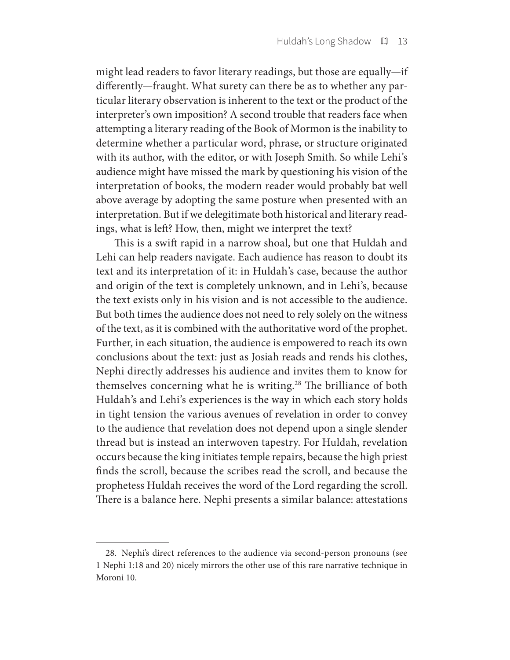might lead readers to favor literary readings, but those are equally—if differently—fraught. What surety can there be as to whether any particular literary observation is inherent to the text or the product of the interpreter's own imposition? A second trouble that readers face when attempting a literary reading of the Book of Mormon is the inability to determine whether a particular word, phrase, or structure originated with its author, with the editor, or with Joseph Smith. So while Lehi's audience might have missed the mark by questioning his vision of the interpretation of books, the modern reader would probably bat well above average by adopting the same posture when presented with an interpretation. But if we delegitimate both historical and literary readings, what is left? How, then, might we interpret the text?

This is a swift rapid in a narrow shoal, but one that Huldah and Lehi can help readers navigate. Each audience has reason to doubt its text and its interpretation of it: in Huldah's case, because the author and origin of the text is completely unknown, and in Lehi's, because the text exists only in his vision and is not accessible to the audience. But both times the audience does not need to rely solely on the witness of the text, as it is combined with the authoritative word of the prophet. Further, in each situation, the audience is empowered to reach its own conclusions about the text: just as Josiah reads and rends his clothes, Nephi directly addresses his audience and invites them to know for themselves concerning what he is writing.<sup>28</sup> The brilliance of both Huldah's and Lehi's experiences is the way in which each story holds in tight tension the various avenues of revelation in order to convey to the audience that revelation does not depend upon a single slender thread but is instead an interwoven tapestry. For Huldah, revelation occurs because the king initiates temple repairs, because the high priest finds the scroll, because the scribes read the scroll, and because the prophetess Huldah receives the word of the Lord regarding the scroll. There is a balance here. Nephi presents a similar balance: attestations

 <sup>28.</sup> Nephi's direct references to the audience via second-person pronouns (see 1 Nephi 1:18 and 20) nicely mirrors the other use of this rare narrative technique in Moroni 10.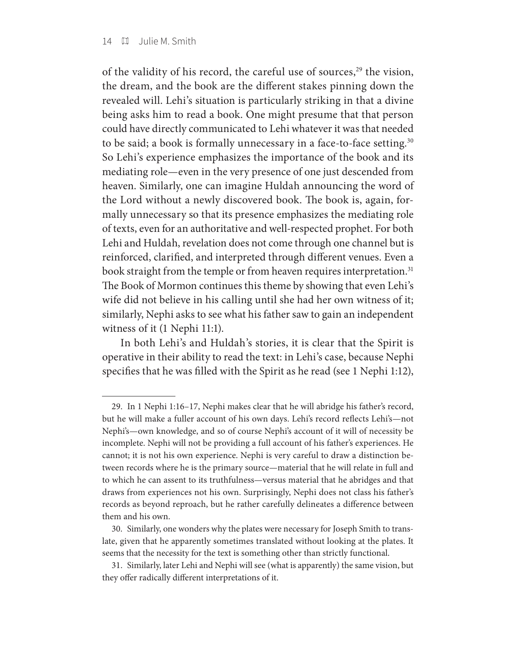of the validity of his record, the careful use of sources,<sup>29</sup> the vision, the dream, and the book are the different stakes pinning down the revealed will. Lehi's situation is particularly striking in that a divine being asks him to read a book. One might presume that that person could have directly communicated to Lehi whatever it was that needed to be said; a book is formally unnecessary in a face-to-face setting.<sup>30</sup> So Lehi's experience emphasizes the importance of the book and its mediating role—even in the very presence of one just descended from heaven. Similarly, one can imagine Huldah announcing the word of the Lord without a newly discovered book. The book is, again, formally unnecessary so that its presence emphasizes the mediating role of texts, even for an authoritative and well-respected prophet. For both Lehi and Huldah, revelation does not come through one channel but is reinforced, clarified, and interpreted through different venues. Even a book straight from the temple or from heaven requires interpretation.<sup>31</sup> The Book of Mormon continues this theme by showing that even Lehi's wife did not believe in his calling until she had her own witness of it; similarly, Nephi asks to see what his father saw to gain an independent witness of it (1 Nephi 11:1).

In both Lehi's and Huldah's stories, it is clear that the Spirit is operative in their ability to read the text: in Lehi's case, because Nephi specifies that he was filled with the Spirit as he read (see 1 Nephi 1:12),

 <sup>29.</sup> In 1 Nephi 1:16–17, Nephi makes clear that he will abridge his father's record, but he will make a fuller account of his own days. Lehi's record reflects Lehi's—not Nephi's—own knowledge, and so of course Nephi's account of it will of necessity be incomplete. Nephi will not be providing a full account of his father's experiences. He cannot; it is not his own experience. Nephi is very careful to draw a distinction between records where he is the primary source—material that he will relate in full and to which he can assent to its truthfulness—versus material that he abridges and that draws from experiences not his own. Surprisingly, Nephi does not class his father's records as beyond reproach, but he rather carefully delineates a difference between them and his own.

 <sup>30.</sup> Similarly, one wonders why the plates were necessary for Joseph Smith to translate, given that he apparently sometimes translated without looking at the plates. It seems that the necessity for the text is something other than strictly functional.

 <sup>31.</sup> Similarly, later Lehi and Nephi will see (what is apparently) the same vision, but they offer radically different interpretations of it.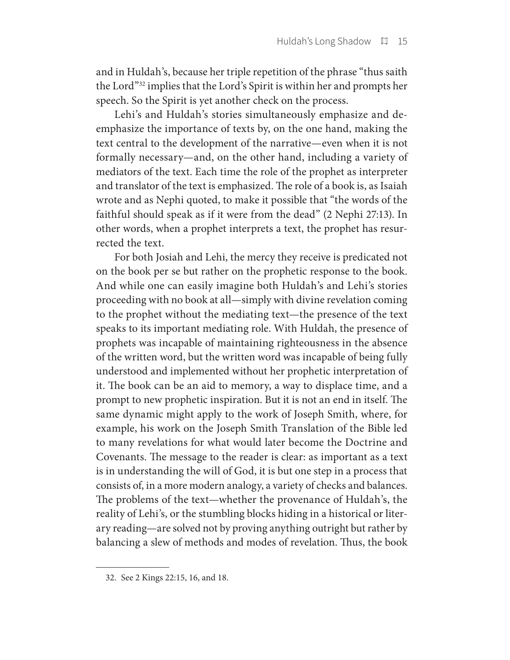and in Huldah's, because her triple repetition of the phrase "thus saith the Lord"32 implies that the Lord's Spirit is within her and prompts her speech. So the Spirit is yet another check on the process.

Lehi's and Huldah's stories simultaneously emphasize and deemphasize the importance of texts by, on the one hand, making the text central to the development of the narrative—even when it is not formally necessary—and, on the other hand, including a variety of mediators of the text. Each time the role of the prophet as interpreter and translator of the text is emphasized. The role of a book is, as Isaiah wrote and as Nephi quoted, to make it possible that "the words of the faithful should speak as if it were from the dead" (2 Nephi 27:13). In other words, when a prophet interprets a text, the prophet has resurrected the text.

For both Josiah and Lehi, the mercy they receive is predicated not on the book per se but rather on the prophetic response to the book. And while one can easily imagine both Huldah's and Lehi's stories proceeding with no book at all—simply with divine revelation coming to the prophet without the mediating text—the presence of the text speaks to its important mediating role. With Huldah, the presence of prophets was incapable of maintaining righteousness in the absence of the written word, but the written word was incapable of being fully understood and implemented without her prophetic interpretation of it. The book can be an aid to memory, a way to displace time, and a prompt to new prophetic inspiration. But it is not an end in itself. The same dynamic might apply to the work of Joseph Smith, where, for example, his work on the Joseph Smith Translation of the Bible led to many revelations for what would later become the Doctrine and Covenants. The message to the reader is clear: as important as a text is in understanding the will of God, it is but one step in a process that consists of, in a more modern analogy, a variety of checks and balances. The problems of the text—whether the provenance of Huldah's, the reality of Lehi's, or the stumbling blocks hiding in a historical or literary reading—are solved not by proving anything outright but rather by balancing a slew of methods and modes of revelation. Thus, the book

 <sup>32.</sup> See 2 Kings 22:15, 16, and 18.